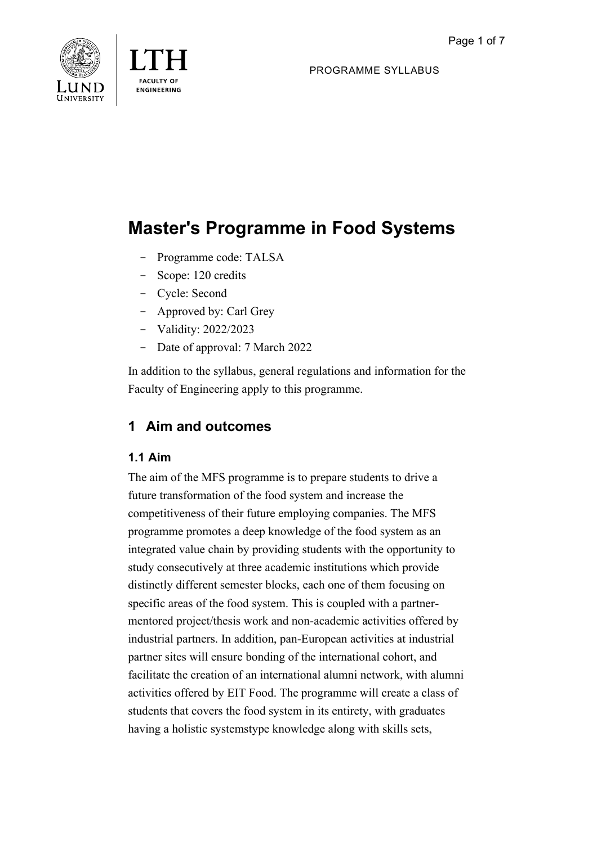

PROGRAMME SYLLABUS

# **Master's Programme in Food Systems**

- Programme code: TALSA
- Scope: 120 credits
- Cycle: Second
- Approved by: Carl Grey
- Validity: 2022/2023
- Date of approval: 7 March 2022

In addition to the syllabus, general regulations and information for the Faculty of Engineering apply to this programme.

# **1 Aim and outcomes**

## **1.1 Aim**

The aim of the MFS programme is to prepare students to drive a future transformation of the food system and increase the competitiveness of their future employing companies. The MFS programme promotes a deep knowledge of the food system as an integrated value chain by providing students with the opportunity to study consecutively at three academic institutions which provide distinctly different semester blocks, each one of them focusing on specific areas of the food system. This is coupled with a partnermentored project/thesis work and non-academic activities offered by industrial partners. In addition, pan-European activities at industrial partner sites will ensure bonding of the international cohort, and facilitate the creation of an international alumni network, with alumni activities offered by EIT Food. The programme will create a class of students that covers the food system in its entirety, with graduates having a holistic systemstype knowledge along with skills sets,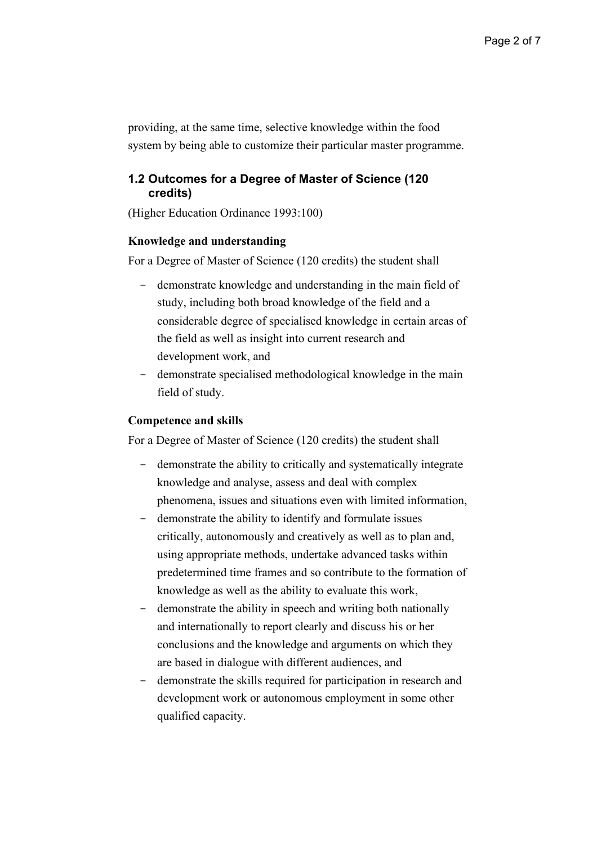providing, at the same time, selective knowledge within the food system by being able to customize their particular master programme.

## **1.2 Outcomes for a Degree of Master of Science (120 credits)**

(Higher Education Ordinance 1993:100)

#### **Knowledge and understanding**

For a Degree of Master of Science (120 credits) the student shall

- demonstrate knowledge and understanding in the main field of study, including both broad knowledge of the field and a considerable degree of specialised knowledge in certain areas of the field as well as insight into current research and development work, and
- demonstrate specialised methodological knowledge in the main field of study.

#### **Competence and skills**

For a Degree of Master of Science (120 credits) the student shall

- demonstrate the ability to critically and systematically integrate knowledge and analyse, assess and deal with complex phenomena, issues and situations even with limited information,
- demonstrate the ability to identify and formulate issues critically, autonomously and creatively as well as to plan and, using appropriate methods, undertake advanced tasks within predetermined time frames and so contribute to the formation of knowledge as well as the ability to evaluate this work,
- demonstrate the ability in speech and writing both nationally and internationally to report clearly and discuss his or her conclusions and the knowledge and arguments on which they are based in dialogue with different audiences, and
- demonstrate the skills required for participation in research and development work or autonomous employment in some other qualified capacity.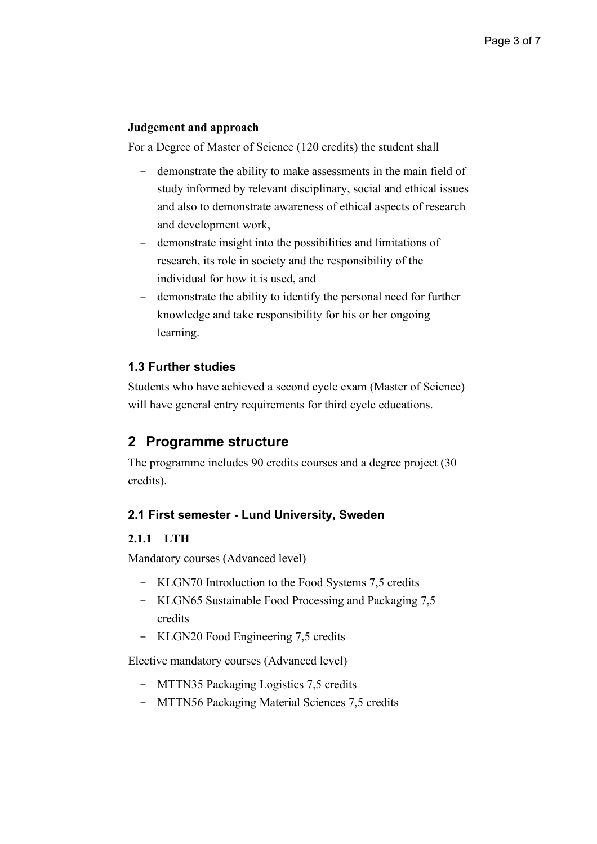#### **Judgement and approach**

For a Degree of Master of Science (120 credits) the student shall

- demonstrate the ability to make assessments in the main field of study informed by relevant disciplinary, social and ethical issues and also to demonstrate awareness of ethical aspects of research and development work,
- demonstrate insight into the possibilities and limitations of research, its role in society and the responsibility of the individual for how it is used, and
- demonstrate the ability to identify the personal need for further knowledge and take responsibility for his or her ongoing learning.

## **1.3 Further studies**

Students who have achieved a second cycle exam (Master of Science) will have general entry requirements for third cycle educations.

# **2 Programme structure**

The programme includes 90 credits courses and a degree project (30 credits).

#### **2.1 First semester - Lund University, Sweden**

#### **2.1.1 LTH**

Mandatory courses (Advanced level)

- KLGN70 Introduction to the Food Systems 7,5 credits
- KLGN65 Sustainable Food Processing and Packaging 7,5 credits
- KLGN20 Food Engineering 7,5 credits

Elective mandatory courses (Advanced level)

- MTTN35 Packaging Logistics 7,5 credits
- MTTN56 Packaging Material Sciences 7,5 credits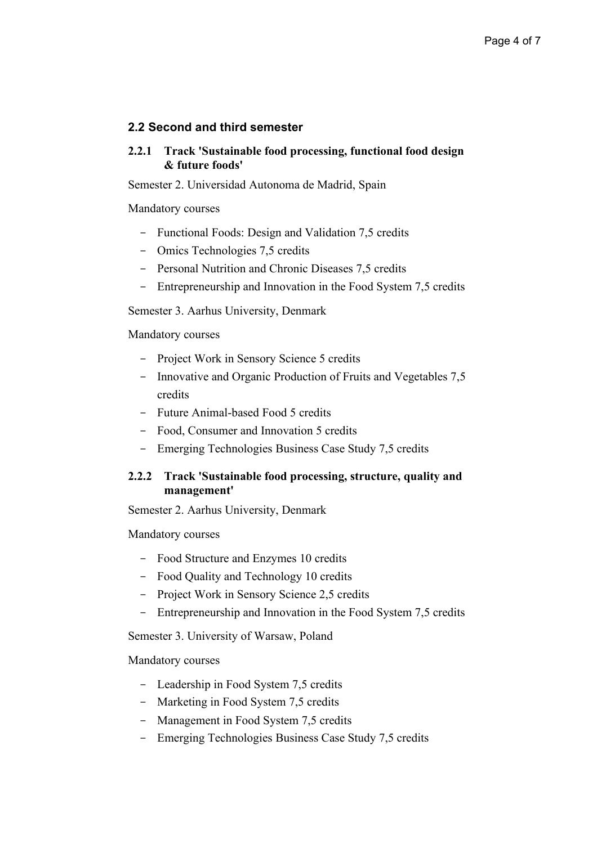## **2.2 Second and third semester**

#### **2.2.1 Track 'Sustainable food processing, functional food design & future foods'**

Semester 2. Universidad Autonoma de Madrid, Spain

Mandatory courses

- Functional Foods: Design and Validation 7,5 credits
- Omics Technologies 7,5 credits
- Personal Nutrition and Chronic Diseases 7,5 credits
- Entrepreneurship and Innovation in the Food System 7,5 credits

Semester 3. Aarhus University, Denmark

Mandatory courses

- Project Work in Sensory Science 5 credits
- Innovative and Organic Production of Fruits and Vegetables 7,5 credits
- Future Animal-based Food 5 credits
- Food, Consumer and Innovation 5 credits
- Emerging Technologies Business Case Study 7,5 credits

## **2.2.2 Track 'Sustainable food processing, structure, quality and management'**

Semester 2. Aarhus University, Denmark

Mandatory courses

- Food Structure and Enzymes 10 credits
- Food Quality and Technology 10 credits
- Project Work in Sensory Science 2,5 credits
- Entrepreneurship and Innovation in the Food System 7,5 credits

Semester 3. University of Warsaw, Poland

Mandatory courses

- Leadership in Food System 7,5 credits
- Marketing in Food System 7,5 credits
- Management in Food System 7,5 credits
- Emerging Technologies Business Case Study 7,5 credits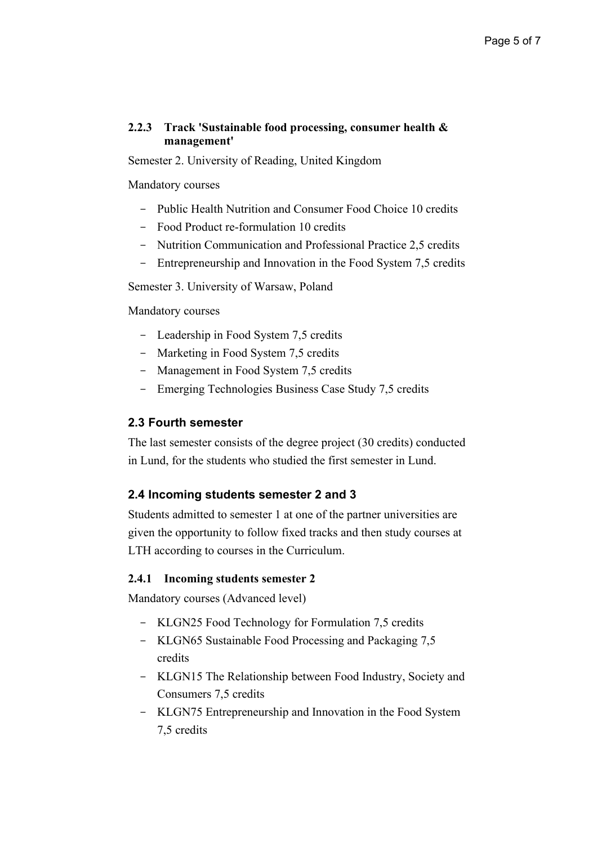#### **2.2.3 Track 'Sustainable food processing, consumer health & management'**

Semester 2. University of Reading, United Kingdom

#### Mandatory courses

- Public Health Nutrition and Consumer Food Choice 10 credits
- Food Product re-formulation 10 credits
- Nutrition Communication and Professional Practice 2,5 credits
- Entrepreneurship and Innovation in the Food System 7,5 credits

Semester 3. University of Warsaw, Poland

Mandatory courses

- Leadership in Food System 7,5 credits
- Marketing in Food System 7,5 credits
- Management in Food System 7,5 credits
- Emerging Technologies Business Case Study 7,5 credits

#### **2.3 Fourth semester**

The last semester consists of the degree project (30 credits) conducted in Lund, for the students who studied the first semester in Lund.

#### **2.4 Incoming students semester 2 and 3**

Students admitted to semester 1 at one of the partner universities are given the opportunity to follow fixed tracks and then study courses at LTH according to courses in the Curriculum.

#### **2.4.1 Incoming students semester 2**

Mandatory courses (Advanced level)

- KLGN25 Food Technology for Formulation 7,5 credits
- KLGN65 Sustainable Food Processing and Packaging 7,5 credits
- KLGN15 The Relationship between Food Industry, Society and Consumers 7,5 credits
- KLGN75 Entrepreneurship and Innovation in the Food System 7,5 credits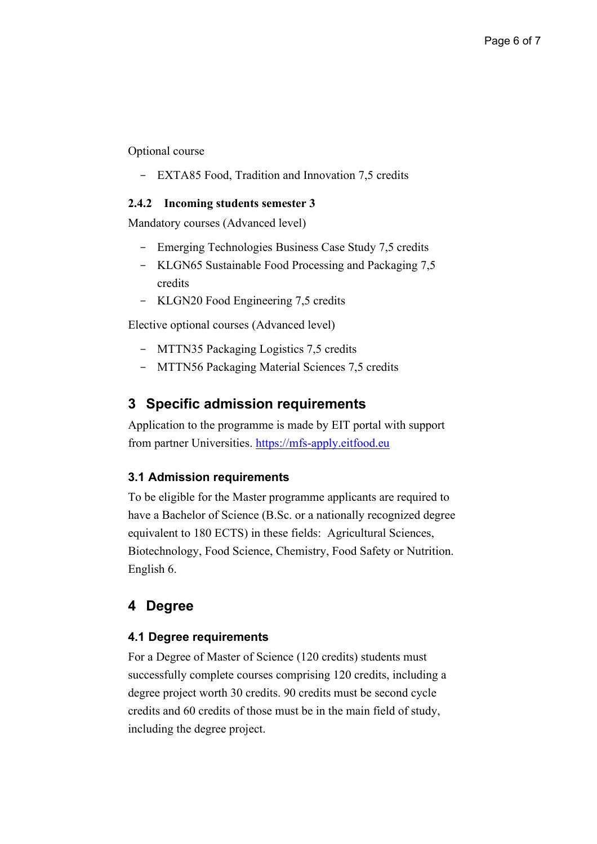Optional course

EXTA85 Food, Tradition and Innovation 7,5 credits

#### **2.4.2 Incoming students semester 3**

Mandatory courses (Advanced level)

- Emerging Technologies Business Case Study 7,5 credits
- KLGN65 Sustainable Food Processing and Packaging 7,5 credits
- KLGN20 Food Engineering 7,5 credits

Elective optional courses (Advanced level)

- MTTN35 Packaging Logistics 7,5 credits
- MTTN56 Packaging Material Sciences 7,5 credits

## **3 Specific admission requirements**

Application to the programme is made by EIT portal with support from partner Universities. [https://mfs-apply.eitfood.eu](https://mfs-apply.eitfood.eu/)

#### **3.1 Admission requirements**

To be eligible for the Master programme applicants are required to have a Bachelor of Science (B.Sc. or a nationally recognized degree equivalent to 180 ECTS) in these fields: Agricultural Sciences, Biotechnology, Food Science, Chemistry, Food Safety or Nutrition. English 6.

# **4 Degree**

#### **4.1 Degree requirements**

For a Degree of Master of Science (120 credits) students must successfully complete courses comprising 120 credits, including a degree project worth 30 credits. 90 credits must be second cycle credits and 60 credits of those must be in the main field of study, including the degree project.